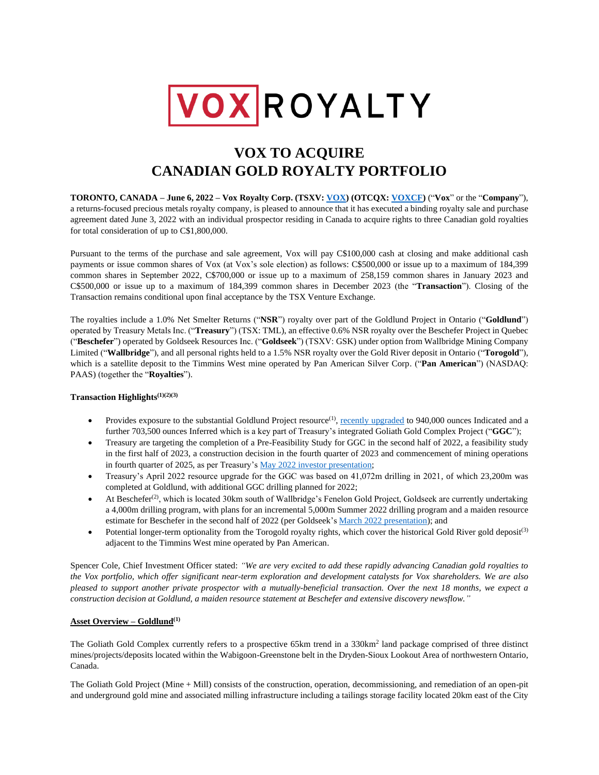

# **VOX TO ACQUIRE CANADIAN GOLD ROYALTY PORTFOLIO**

**TORONTO, CANADA – June 6, 2022 – Vox Royalty Corp. (TSXV: [VOX\)](https://money.tmx.com/en/quote/VOX) (OTCQX[: VOXC](https://money.tmx.com/en/quote/VOX)F)** ("**Vox**" or the "**Company**"), a returns-focused precious metals royalty company, is pleased to announce that it has executed a binding royalty sale and purchase agreement dated June 3, 2022 with an individual prospector residing in Canada to acquire rights to three Canadian gold royalties for total consideration of up to C\$1,800,000.

Pursuant to the terms of the purchase and sale agreement, Vox will pay C\$100,000 cash at closing and make additional cash payments or issue common shares of Vox (at Vox's sole election) as follows: C\$500,000 or issue up to a maximum of 184,399 common shares in September 2022, C\$700,000 or issue up to a maximum of 258,159 common shares in January 2023 and C\$500,000 or issue up to a maximum of 184,399 common shares in December 2023 (the "**Transaction**"). Closing of the Transaction remains conditional upon final acceptance by the TSX Venture Exchange.

The royalties include a 1.0% Net Smelter Returns ("**NSR**") royalty over part of the Goldlund Project in Ontario ("**Goldlund**") operated by Treasury Metals Inc. ("**Treasury**") (TSX: TML), an effective 0.6% NSR royalty over the Beschefer Project in Quebec ("**Beschefer**") operated by Goldseek Resources Inc. ("**Goldseek**") (TSXV: GSK) under option from Wallbridge Mining Company Limited ("**Wallbridge**"), and all personal rights held to a 1.5% NSR royalty over the Gold River deposit in Ontario ("**Torogold**"), which is a satellite deposit to the Timmins West mine operated by Pan American Silver Corp. ("**Pan American**") (NASDAQ: PAAS) (together the "**Royalties**").

# **Transaction Highlights(1)(2)(3)**

- Provides exposure to the substantial Goldlund Project resource<sup>(1)</sup>, [recently upgraded](https://treasurymetals.com/news/treasury-metals-announces-updated-mineral-resource-122752/) to 940,000 ounces Indicated and a further 703,500 ounces Inferred which is a key part of Treasury's integrated Goliath Gold Complex Project ("**GGC**");
- Treasury are targeting the completion of a Pre-Feasibility Study for GGC in the second half of 2022, a feasibility study in the first half of 2023, a construction decision in the fourth quarter of 2023 and commencement of mining operations in fourth quarter of 2025, as per Treasury'[s May 2022 investor presentation;](https://treasurymetals.com/site/assets/files/4246/treasury_metals_investor_presentation_may.pdf)
- Treasury's April 2022 resource upgrade for the GGC was based on 41,072m drilling in 2021, of which 23,200m was completed at Goldlund, with additional GGC drilling planned for 2022;
- At Beschefer<sup>(2)</sup>, which is located 30km south of Wallbridge's Fenelon Gold Project, Goldseek are currently undertaking a 4,000m drilling program, with plans for an incremental 5,000m Summer 2022 drilling program and a maiden resource estimate for Beschefer in the second half of 2022 (per Goldseek's [March 2022 presentation\)](https://www.goldseekresources.com/wp-content/uploads/2022/03/Goldseek-Presentation-March-2022-F.pdf); and
- Potential longer-term optionality from the Torogold royalty rights, which cover the historical Gold River gold deposit<sup>(3)</sup> adjacent to the Timmins West mine operated by Pan American.

Spencer Cole, Chief Investment Officer stated: *"We are very excited to add these rapidly advancing Canadian gold royalties to the Vox portfolio, which offer significant near-term exploration and development catalysts for Vox shareholders. We are also pleased to support another private prospector with a mutually-beneficial transaction. Over the next 18 months, we expect a construction decision at Goldlund, a maiden resource statement at Beschefer and extensive discovery newsflow."*

# **Asset Overview – Goldlund(1)**

The Goliath Gold Complex currently refers to a prospective 65km trend in a 330km<sup>2</sup> land package comprised of three distinct mines/projects/deposits located within the Wabigoon-Greenstone belt in the Dryden-Sioux Lookout Area of northwestern Ontario, Canada.

The Goliath Gold Project (Mine + Mill) consists of the construction, operation, decommissioning, and remediation of an open-pit and underground gold mine and associated milling infrastructure including a tailings storage facility located 20km east of the City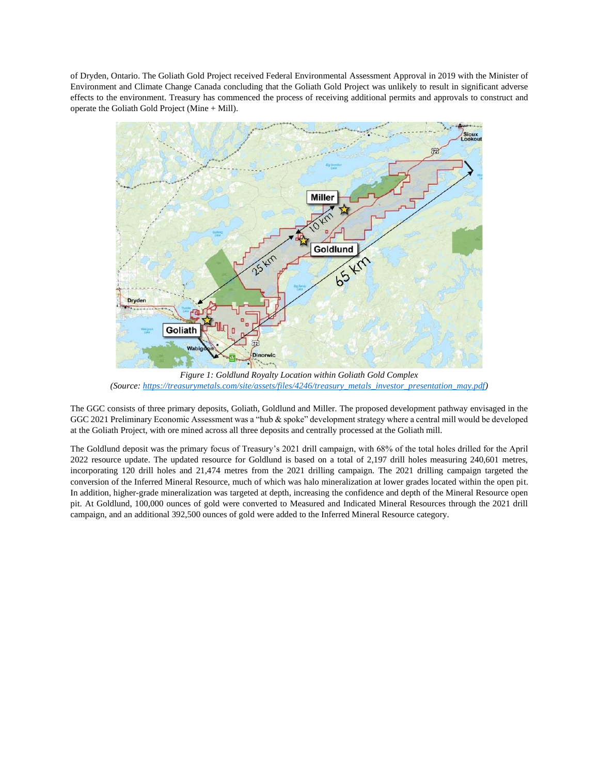of Dryden, Ontario. The Goliath Gold Project received Federal Environmental Assessment Approval in 2019 with the Minister of Environment and Climate Change Canada concluding that the Goliath Gold Project was unlikely to result in significant adverse effects to the environment. Treasury has commenced the process of receiving additional permits and approvals to construct and operate the Goliath Gold Project (Mine + Mill).



*Figure 1: Goldlund Royalty Location within Goliath Gold Complex (Source: [https://treasurymetals.com/site/assets/files/4246/treasury\\_metals\\_investor\\_presentation\\_may.pdf\)](https://treasurymetals.com/site/assets/files/4246/treasury_metals_investor_presentation_may.pdf)* 

The GGC consists of three primary deposits, Goliath, Goldlund and Miller. The proposed development pathway envisaged in the GGC 2021 Preliminary Economic Assessment was a "hub & spoke" development strategy where a central mill would be developed at the Goliath Project, with ore mined across all three deposits and centrally processed at the Goliath mill.

The Goldlund deposit was the primary focus of Treasury's 2021 drill campaign, with 68% of the total holes drilled for the April 2022 resource update. The updated resource for Goldlund is based on a total of 2,197 drill holes measuring 240,601 metres, incorporating 120 drill holes and 21,474 metres from the 2021 drilling campaign. The 2021 drilling campaign targeted the conversion of the Inferred Mineral Resource, much of which was halo mineralization at lower grades located within the open pit. In addition, higher-grade mineralization was targeted at depth, increasing the confidence and depth of the Mineral Resource open pit. At Goldlund, 100,000 ounces of gold were converted to Measured and Indicated Mineral Resources through the 2021 drill campaign, and an additional 392,500 ounces of gold were added to the Inferred Mineral Resource category.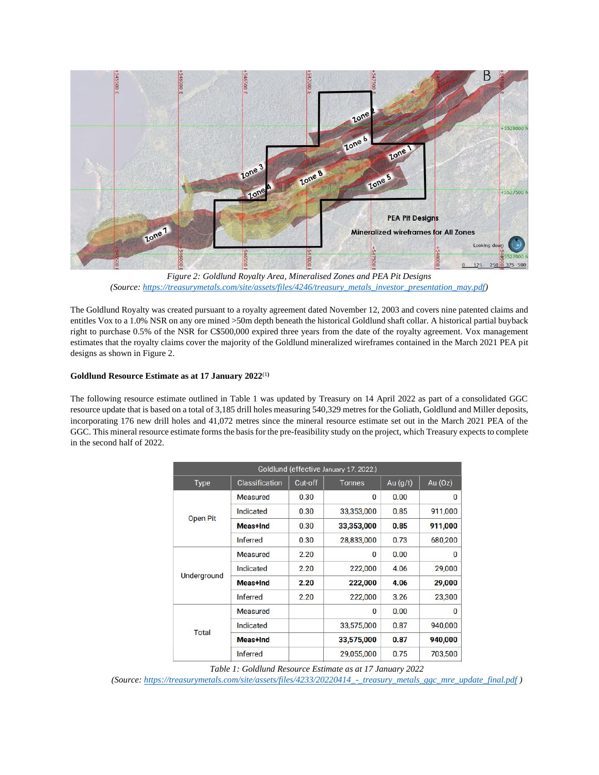

*Figure 2: Goldlund Royalty Area, Mineralised Zones and PEA Pit Designs (Source: [https://treasurymetals.com/site/assets/files/4246/treasury\\_metals\\_investor\\_presentation\\_may.pdf\)](https://treasurymetals.com/site/assets/files/4246/treasury_metals_investor_presentation_may.pdf)* 

The Goldlund Royalty was created pursuant to a royalty agreement dated November 12, 2003 and covers nine patented claims and entitles Vox to a 1.0% NSR on any ore mined >50m depth beneath the historical Goldlund shaft collar. A historical partial buyback right to purchase 0.5% of the NSR for C\$500,000 expired three years from the date of the royalty agreement. Vox management estimates that the royalty claims cover the majority of the Goldlund mineralized wireframes contained in the March 2021 PEA pit designs as shown in Figure 2.

# **Goldlund Resource Estimate as at 17 January 2022**(1**)**

The following resource estimate outlined in Table 1 was updated by Treasury on 14 April 2022 as part of a consolidated GGC resource update that is based on a total of 3,185 drill holes measuring 540,329 metres for the Goliath, Goldlund and Miller deposits, incorporating 176 new drill holes and 41,072 metres since the mineral resource estimate set out in the March 2021 PEA of the GGC. This mineral resource estimate forms the basis for the pre-feasibility study on the project, which Treasury expects to complete in the second half of 2022.

| Goldlund (effective January 17, 2022.) |                  |         |               |            |           |
|----------------------------------------|------------------|---------|---------------|------------|-----------|
| <b>Type</b>                            | Classification   | Cut-off | <b>Tonnes</b> | Au $(g/t)$ | Au $(Oz)$ |
| <b>Open Pit</b>                        | <b>Measured</b>  | 0.30    | 0             | 0.00       | 0         |
|                                        | <b>Indicated</b> | 0.30    | 33,353,000    | 0.85       | 911,000   |
|                                        | Meas+Ind         | 0.30    | 33,353,000    | 0.85       | 911,000   |
|                                        | <b>Inferred</b>  | 0.30    | 28,833,000    | 0.73       | 680,200   |
| Underground                            | Measured         | 2.20    | 0             | 0.00       | 0         |
|                                        | Indicated        | 2.20    | 222,000       | 4.06       | 29,000    |
|                                        | Meas+Ind         | 2.20    | 222,000       | 4.06       | 29,000    |
|                                        | <b>Inferred</b>  | 2.20    | 222,000       | 3.26       | 23,300    |
| <b>Total</b>                           | <b>Measured</b>  |         | 0             | 0.00       | 0         |
|                                        | Indicated        |         | 33,575,000    | 0.87       | 940,000   |
|                                        | Meas+Ind         |         | 33,575,000    | 0.87       | 940,000   |
|                                        | <b>Inferred</b>  |         | 29.055.000    | 0.75       | 703,500   |

*Table 1: Goldlund Resource Estimate as at 17 January 2022*

*(Source: [https://treasurymetals.com/site/assets/files/4233/20220414\\_-\\_treasury\\_metals\\_ggc\\_mre\\_update\\_final.pdf](https://treasurymetals.com/site/assets/files/4233/20220414_-_treasury_metals_ggc_mre_update_final.pdf) )*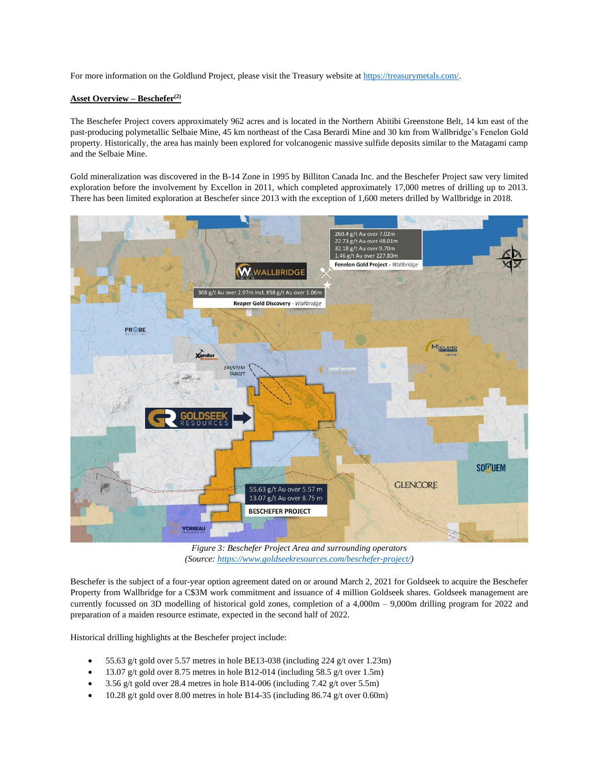For more information on the Goldlund Project, please visit the Treasury website at [https://treasurymetals.com/.](https://treasurymetals.com/)

## **Asset Overview – Beschefer(2)**

The Beschefer Project covers approximately 962 acres and is located in the Northern Abitibi Greenstone Belt, 14 km east of the past-producing polymetallic Selbaie Mine, 45 km northeast of the Casa Berardi Mine and 30 km from Wallbridge's Fenelon Gold property. Historically, the area has mainly been explored for volcanogenic massive sulfide deposits similar to the Matagami camp and the Selbaie Mine.

Gold mineralization was discovered in the B-14 Zone in 1995 by Billiton Canada Inc. and the Beschefer Project saw very limited exploration before the involvement by Excellon in 2011, which completed approximately 17,000 metres of drilling up to 2013. There has been limited exploration at Beschefer since 2013 with the exception of 1,600 meters drilled by Wallbridge in 2018.



*Figure 3: Beschefer Project Area and surrounding operators (Source[: https://www.goldseekresources.com/beschefer-project/\)](https://www.goldseekresources.com/beschefer-project/)*

Beschefer is the subject of a four-year option agreement dated on or around March 2, 2021 for Goldseek to acquire the Beschefer Property from Wallbridge for a C\$3M work commitment and issuance of 4 million Goldseek shares. Goldseek management are currently focussed on 3D modelling of historical gold zones, completion of a 4,000m – 9,000m drilling program for 2022 and preparation of a maiden resource estimate, expected in the second half of 2022.

Historical drilling highlights at the Beschefer project include:

- 55.63 g/t gold over 5.57 metres in hole BE13-038 (including 224 g/t over 1.23m)
- 13.07 g/t gold over 8.75 metres in hole B12-014 (including 58.5 g/t over 1.5m)
- 3.56 g/t gold over 28.4 metres in hole B14-006 (including  $7.42$  g/t over  $5.5m$ )
- 10.28 g/t gold over 8.00 metres in hole B14-35 (including 86.74 g/t over 0.60m)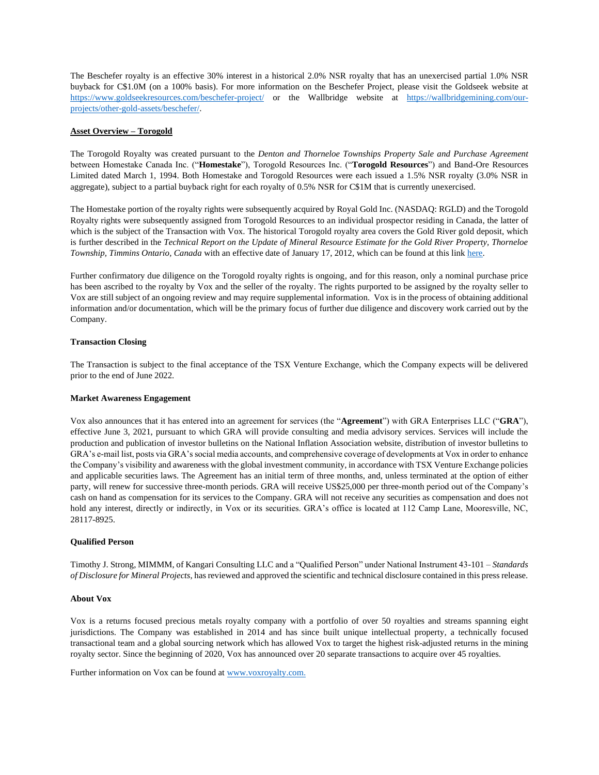The Beschefer royalty is an effective 30% interest in a historical 2.0% NSR royalty that has an unexercised partial 1.0% NSR buyback for C\$1.0M (on a 100% basis). For more information on the Beschefer Project, please visit the Goldseek website at <https://www.goldseekresources.com/beschefer-project/> or the Wallbridge website at [https://wallbridgemining.com/our](https://wallbridgemining.com/our-projects/other-gold-assets/beschefer/)[projects/other-gold-assets/beschefer/.](https://wallbridgemining.com/our-projects/other-gold-assets/beschefer/)

## **Asset Overview – Torogold**

The Torogold Royalty was created pursuant to the *Denton and Thorneloe Townships Property Sale and Purchase Agreement* between Homestake Canada Inc. ("**Homestake**"), Torogold Resources Inc. ("**Torogold Resources**") and Band-Ore Resources Limited dated March 1, 1994. Both Homestake and Torogold Resources were each issued a 1.5% NSR royalty (3.0% NSR in aggregate), subject to a partial buyback right for each royalty of 0.5% NSR for C\$1M that is currently unexercised.

The Homestake portion of the royalty rights were subsequently acquired by Royal Gold Inc. (NASDAQ: RGLD) and the Torogold Royalty rights were subsequently assigned from Torogold Resources to an individual prospector residing in Canada, the latter of which is the subject of the Transaction with Vox. The historical Torogold royalty area covers the Gold River gold deposit, which is further described in the *Technical Report on the Update of Mineral Resource Estimate for the Gold River Property, Thorneloe Township, Timmins Ontario, Canada* with an effective date of January 17, 2012, which can be found at this lin[k here.](https://www.sec.gov/Archives/edgar/data/1279944/000110465912024569/a12-9222_1ex99d1.htm)

Further confirmatory due diligence on the Torogold royalty rights is ongoing, and for this reason, only a nominal purchase price has been ascribed to the royalty by Vox and the seller of the royalty. The rights purported to be assigned by the royalty seller to Vox are still subject of an ongoing review and may require supplemental information. Vox is in the process of obtaining additional information and/or documentation, which will be the primary focus of further due diligence and discovery work carried out by the Company.

## **Transaction Closing**

The Transaction is subject to the final acceptance of the TSX Venture Exchange, which the Company expects will be delivered prior to the end of June 2022.

#### **Market Awareness Engagement**

Vox also announces that it has entered into an agreement for services (the "**Agreement**") with GRA Enterprises LLC ("**GRA**"), effective June 3, 2021, pursuant to which GRA will provide consulting and media advisory services. Services will include the production and publication of investor bulletins on the National Inflation Association website, distribution of investor bulletins to GRA's e-mail list, posts via GRA's social media accounts, and comprehensive coverage of developments at Vox in order to enhance the Company's visibility and awareness with the global investment community, in accordance with TSX Venture Exchange policies and applicable securities laws. The Agreement has an initial term of three months, and, unless terminated at the option of either party, will renew for successive three-month periods. GRA will receive US\$25,000 per three-month period out of the Company's cash on hand as compensation for its services to the Company. GRA will not receive any securities as compensation and does not hold any interest, directly or indirectly, in Vox or its securities. GRA's office is located at 112 Camp Lane, Mooresville, NC, 28117-8925.

#### **Qualified Person**

Timothy J. Strong, MIMMM, of Kangari Consulting LLC and a "Qualified Person" under National Instrument 43-101 – *Standards of Disclosure for Mineral Projects*, has reviewed and approved the scientific and technical disclosure contained in this press release.

#### **About Vox**

Vox is a returns focused precious metals royalty company with a portfolio of over 50 royalties and streams spanning eight jurisdictions. The Company was established in 2014 and has since built unique intellectual property, a technically focused transactional team and a global sourcing network which has allowed Vox to target the highest risk-adjusted returns in the mining royalty sector. Since the beginning of 2020, Vox has announced over 20 separate transactions to acquire over 45 royalties.

Further information on Vox can be found at www.voxroyalty.com.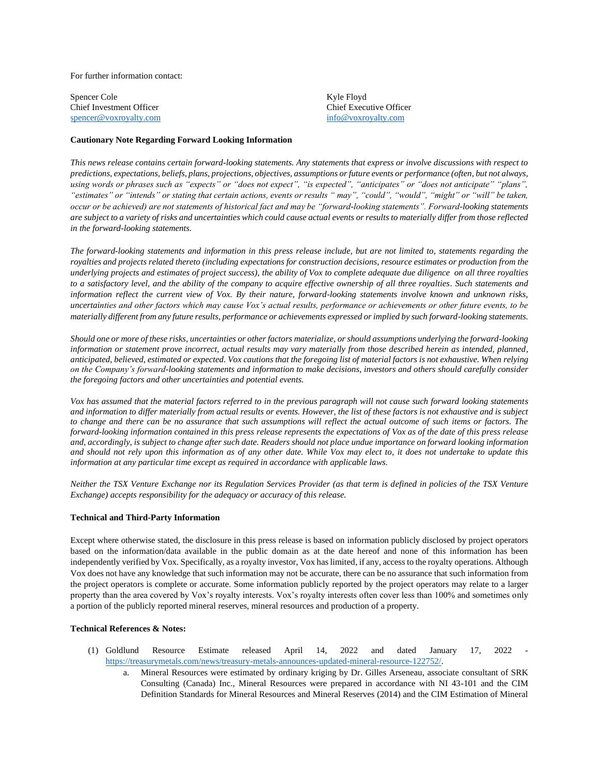For further information contact:

Spencer Cole Chief Investment Officer [spencer@voxroyalty.com](mailto:spencer@voxroyalty.com)

Kyle Floyd Chief Executive Officer [info@voxroyalty.com](mailto:info@voxroyalty.com)

## **Cautionary Note Regarding Forward Looking Information**

*This news release contains certain forward-looking statements. Any statements that express or involve discussions with respect to predictions, expectations, beliefs, plans, projections, objectives, assumptions or future events or performance (often, but not always, using words or phrases such as "expects" or "does not expect", "is expected", "anticipates" or "does not anticipate" "plans", "estimates" or "intends" or stating that certain actions, events or results " may", "could", "would", "might" or "will" be taken, occur or be achieved) are not statements of historical fact and may be "forward-looking statements". Forward-looking statements are subject to a variety of risks and uncertainties which could cause actual events or results to materially differ from those reflected in the forward-looking statements.*

*The forward-looking statements and information in this press release include, but are not limited to, statements regarding the royalties and projects related thereto (including expectations for construction decisions, resource estimates or production from the underlying projects and estimates of project success), the ability of Vox to complete adequate due diligence on all three royalties to a satisfactory level, and the ability of the company to acquire effective ownership of all three royalties. Such statements and information reflect the current view of Vox. By their nature, forward-looking statements involve known and unknown risks, uncertainties and other factors which may cause Vox's actual results, performance or achievements or other future events, to be materially different from any future results, performance or achievements expressed or implied by such forward-looking statements.* 

*Should one or more of these risks, uncertainties or other factors materialize, or should assumptions underlying the forward-looking information or statement prove incorrect, actual results may vary materially from those described herein as intended, planned, anticipated, believed, estimated or expected. Vox cautions that the foregoing list of material factors is not exhaustive. When relying on the Company's forward-looking statements and information to make decisions, investors and others should carefully consider the foregoing factors and other uncertainties and potential events.* 

*Vox has assumed that the material factors referred to in the previous paragraph will not cause such forward looking statements and information to differ materially from actual results or events. However, the list of these factors is not exhaustive and is subject to change and there can be no assurance that such assumptions will reflect the actual outcome of such items or factors. The forward-looking information contained in this press release represents the expectations of Vox as of the date of this press release and, accordingly, is subject to change after such date. Readers should not place undue importance on forward looking information and should not rely upon this information as of any other date. While Vox may elect to, it does not undertake to update this information at any particular time except as required in accordance with applicable laws.*

*Neither the TSX Venture Exchange nor its Regulation Services Provider (as that term is defined in policies of the TSX Venture Exchange) accepts responsibility for the adequacy or accuracy of this release.*

#### **Technical and Third-Party Information**

Except where otherwise stated, the disclosure in this press release is based on information publicly disclosed by project operators based on the information/data available in the public domain as at the date hereof and none of this information has been independently verified by Vox. Specifically, as a royalty investor, Vox has limited, if any, access to the royalty operations. Although Vox does not have any knowledge that such information may not be accurate, there can be no assurance that such information from the project operators is complete or accurate. Some information publicly reported by the project operators may relate to a larger property than the area covered by Vox's royalty interests. Vox's royalty interests often cover less than 100% and sometimes only a portion of the publicly reported mineral reserves, mineral resources and production of a property.

#### **Technical References & Notes:**

- (1) Goldlund Resource Estimate released April 14, 2022 and dated January 17, 2022 [https://treasurymetals.com/news/treasury-metals-announces-updated-mineral-resource-122752/.](https://treasurymetals.com/news/treasury-metals-announces-updated-mineral-resource-122752/)
	- a. Mineral Resources were estimated by ordinary kriging by Dr. Gilles Arseneau, associate consultant of SRK Consulting (Canada) Inc., Mineral Resources were prepared in accordance with NI 43-101 and the CIM Definition Standards for Mineral Resources and Mineral Reserves (2014) and the CIM Estimation of Mineral